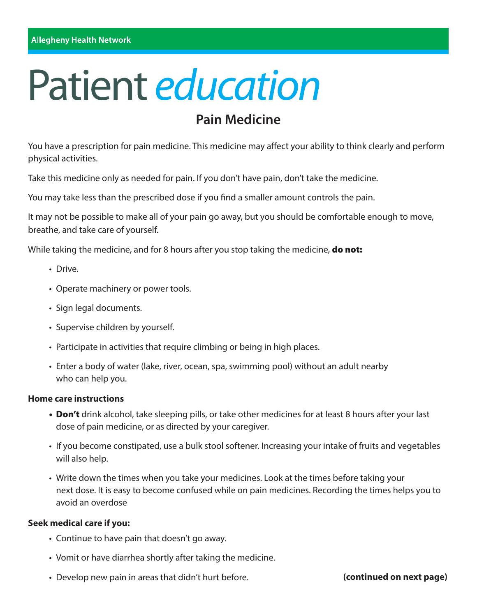# Patient *education*

## **Pain Medicine**

You have a prescription for pain medicine. This medicine may affect your ability to think clearly and perform physical activities.

Take this medicine only as needed for pain. If you don't have pain, don't take the medicine.

You may take less than the prescribed dose if you find a smaller amount controls the pain.

It may not be possible to make all of your pain go away, but you should be comfortable enough to move, breathe, and take care of yourself.

While taking the medicine, and for 8 hours after you stop taking the medicine, **do not:** 

- Drive.
- Operate machinery or power tools.
- Sign legal documents.
- Supervise children by yourself.
- Participate in activities that require climbing or being in high places.
- Enter a body of water (lake, river, ocean, spa, swimming pool) without an adult nearby who can help you.

#### **Home care instructions**

- Don't drink alcohol, take sleeping pills, or take other medicines for at least 8 hours after your last dose of pain medicine, or as directed by your caregiver.
- If you become constipated, use a bulk stool softener. Increasing your intake of fruits and vegetables will also help.
- Write down the times when you take your medicines. Look at the times before taking your next dose. It is easy to become confused while on pain medicines. Recording the times helps you to avoid an overdose

#### **Seek medical care if you:**

- Continue to have pain that doesn't go away.
- Vomit or have diarrhea shortly after taking the medicine.
- Develop new pain in areas that didn't hurt before. **The intervalled on next page**)